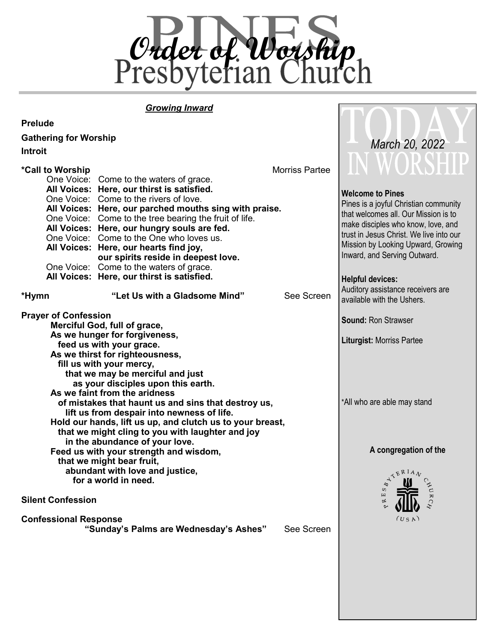

TOD

# *Growing Inward*

| <b>Prelude</b>               |                                                                                    |                |                                         |
|------------------------------|------------------------------------------------------------------------------------|----------------|-----------------------------------------|
| <b>Gathering for Worship</b> |                                                                                    |                |                                         |
| <b>Introit</b>               |                                                                                    | March 20, 2022 |                                         |
|                              |                                                                                    |                | IN WORSELL                              |
| *Call to Worship             | <b>Morriss Partee</b>                                                              |                |                                         |
|                              | One Voice: Come to the waters of grace.                                            |                |                                         |
|                              | All Voices: Here, our thirst is satisfied.                                         |                | <b>Welcome to Pines</b>                 |
|                              | One Voice: Come to the rivers of love.                                             |                | Pines is a joyful Christian community   |
|                              | All Voices: Here, our parched mouths sing with praise.                             |                | that welcomes all. Our Mission is to    |
|                              | One Voice: Come to the tree bearing the fruit of life.                             |                | make disciples who know, love, and      |
|                              | All Voices: Here, our hungry souls are fed.                                        |                | trust in Jesus Christ. We live into our |
|                              | One Voice: Come to the One who loves us.                                           |                | Mission by Looking Upward, Growing      |
|                              | All Voices: Here, our hearts find joy,<br>our spirits reside in deepest love.      |                | Inward, and Serving Outward.            |
|                              | One Voice: Come to the waters of grace.                                            |                |                                         |
|                              | All Voices: Here, our thirst is satisfied.                                         |                |                                         |
|                              |                                                                                    |                | <b>Helpful devices:</b>                 |
| *Hymn                        | "Let Us with a Gladsome Mind"                                                      | See Screen     | Auditory assistance receivers are       |
|                              |                                                                                    |                | available with the Ushers.              |
| <b>Prayer of Confession</b>  |                                                                                    |                |                                         |
|                              | Merciful God, full of grace,                                                       |                | <b>Sound: Ron Strawser</b>              |
|                              | As we hunger for forgiveness,                                                      |                |                                         |
|                              | feed us with your grace.                                                           |                | <b>Liturgist: Morriss Partee</b>        |
|                              | As we thirst for righteousness,                                                    |                |                                         |
|                              | fill us with your mercy,                                                           |                |                                         |
|                              | that we may be merciful and just                                                   |                |                                         |
|                              | as your disciples upon this earth.                                                 |                |                                         |
|                              | As we faint from the aridness                                                      |                |                                         |
|                              | of mistakes that haunt us and sins that destroy us,                                |                | *All who are able may stand             |
|                              | lift us from despair into newness of life.                                         |                |                                         |
|                              | Hold our hands, lift us up, and clutch us to your breast,                          |                |                                         |
|                              | that we might cling to you with laughter and joy<br>in the abundance of your love. |                |                                         |
|                              | A congregation of the                                                              |                |                                         |
|                              | Feed us with your strength and wisdom,<br>that we might bear fruit,                |                |                                         |
|                              |                                                                                    |                |                                         |
|                              | abundant with love and justice,<br>for a world in need.                            |                |                                         |
|                              |                                                                                    |                | $\epsilon^{HUL}$                        |
| <b>Silent Confession</b>     |                                                                                    | ATERIAL        |                                         |
|                              |                                                                                    |                |                                         |
| <b>Confessional Response</b> | (US A)                                                                             |                |                                         |
|                              | "Sunday's Palms are Wednesday's Ashes"                                             | See Screen     |                                         |
|                              |                                                                                    |                |                                         |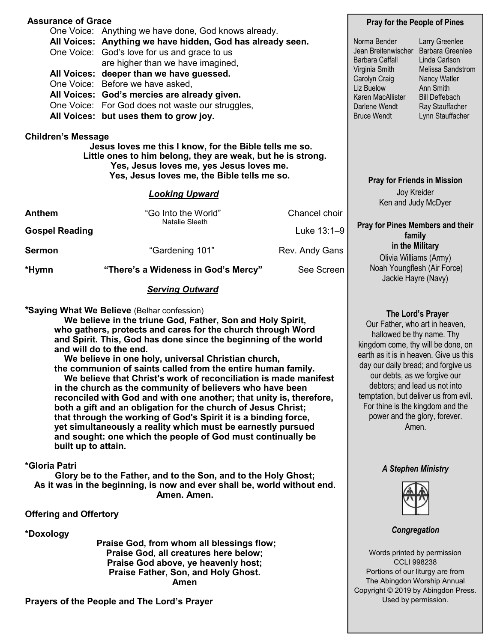| <b>Assurance of Grace</b>                                                                                             | <b>Pray for the People of Pines</b>                        |                                                                                         |                                                                                                       |                                  |
|-----------------------------------------------------------------------------------------------------------------------|------------------------------------------------------------|-----------------------------------------------------------------------------------------|-------------------------------------------------------------------------------------------------------|----------------------------------|
|                                                                                                                       | One Voice: Anything we have done, God knows already.       |                                                                                         |                                                                                                       |                                  |
|                                                                                                                       | All Voices: Anything we have hidden, God has already seen. | Norma Bender                                                                            | Larry Greenlee<br>Barbara Greenlee<br>Linda Carlson<br>Melissa Sandstrom<br>Nancy Watler<br>Ann Smith |                                  |
|                                                                                                                       | One Voice: God's love for us and grace to us               | Jean Breitenwischer<br>Barbara Caffall<br>Virginia Smith<br>Carolyn Craig<br>Liz Buelow |                                                                                                       |                                  |
|                                                                                                                       | are higher than we have imagined,                          |                                                                                         |                                                                                                       |                                  |
|                                                                                                                       | All Voices: deeper than we have guessed.                   |                                                                                         |                                                                                                       |                                  |
|                                                                                                                       | One Voice: Before we have asked,                           |                                                                                         |                                                                                                       |                                  |
|                                                                                                                       | All Voices: God's mercies are already given.               | Karen MacAllister                                                                       | <b>Bill Deffebach</b>                                                                                 |                                  |
|                                                                                                                       | One Voice: For God does not waste our struggles,           |                                                                                         | Darlene Wendt                                                                                         | Ray Stauffacher                  |
|                                                                                                                       | All Voices: but uses them to grow joy.                     | <b>Bruce Wendt</b>                                                                      | Lynn Stauffacher                                                                                      |                                  |
| Jesus loves me this I know, for the Bible tells me so.<br>Little ones to him belong, they are weak, but he is strong. | <b>Pray for Friends in Mission</b>                         |                                                                                         |                                                                                                       |                                  |
| <b>Looking Upward</b>                                                                                                 |                                                            |                                                                                         | Joy Kreider<br>Ken and Judy McDyer                                                                    |                                  |
| Anthem                                                                                                                | "Go Into the World"<br>Natalie Sleeth                      | Chancel choir                                                                           |                                                                                                       |                                  |
| <b>Gospel Reading</b>                                                                                                 |                                                            | Luke 13:1-9                                                                             | family                                                                                                | Pray for Pines Members and their |
| Sermon                                                                                                                | "Gardening 101"                                            | Rev. Andy Gans                                                                          | in the Military<br>Olivia Williams (Army)                                                             |                                  |
| *Hymn                                                                                                                 | "There's a Wideness in God's Mercy"                        | See Screen                                                                              | Jackie Hayre (Navy)                                                                                   | Noah Youngflesh (Air Force)      |
|                                                                                                                       |                                                            |                                                                                         |                                                                                                       |                                  |

# *Serving Outward*

**\*Saying What We Believe** (Belhar confession)

 **We believe in the triune God, Father, Son and Holy Spirit, who gathers, protects and cares for the church through Word and Spirit. This, God has done since the beginning of the world and will do to the end.**

 **We believe in one holy, universal Christian church, the communion of saints called from the entire human family. We believe that Christ's work of reconciliation is made manifest in the church as the community of believers who have been reconciled with God and with one another; that unity is, therefore, both a gift and an obligation for the church of Jesus Christ; that through the working of God's Spirit it is a binding force, yet simultaneously a reality which must be earnestly pursued and sought: one which the people of God must continually be built up to attain.**

### **\*Gloria Patri**

**Glory be to the Father, and to the Son, and to the Holy Ghost; As it was in the beginning, is now and ever shall be, world without end. Amen. Amen.** 

## **Offering and Offertory**

**\*Doxology**

**Praise God, from whom all blessings flow; Praise God, all creatures here below; Praise God above, ye heavenly host; Praise Father, Son, and Holy Ghost. Amen** 

**Prayers of the People and The Lord's Prayer**

 **The Lord's Prayer** Our Father, who art in heaven, hallowed be thy name. Thy kingdom come, thy will be done, on earth as it is in heaven. Give us this day our daily bread; and forgive us our debts, as we forgive our debtors; and lead us not into temptation, but deliver us from evil. For thine is the kingdom and the power and the glory, forever. Amen.

### *A Stephen Ministry*



### *Congregation*

Words printed by permission CCLI 998238 Portions of our liturgy are from The Abingdon Worship Annual Copyright © 2019 by Abingdon Press. Used by permission.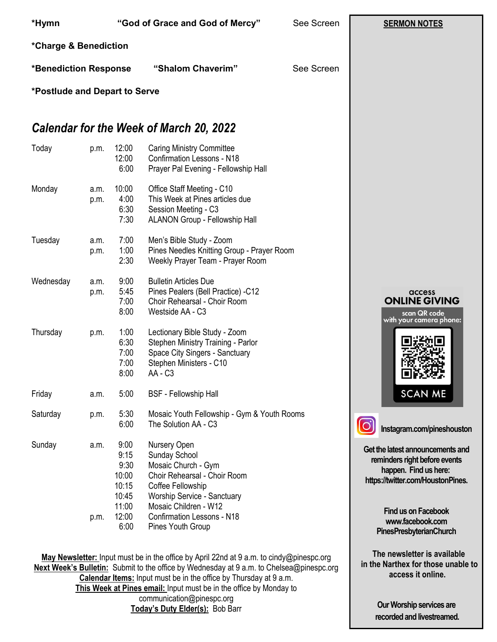| *Hymn                                                        |                                            |                                                          | "God of Grace and God of Mercy"                                                                                                                                                                                                                                                                                                        | See Screen | <b>SERMON NOTES</b>                                                                                                             |
|--------------------------------------------------------------|--------------------------------------------|----------------------------------------------------------|----------------------------------------------------------------------------------------------------------------------------------------------------------------------------------------------------------------------------------------------------------------------------------------------------------------------------------------|------------|---------------------------------------------------------------------------------------------------------------------------------|
| *Charge & Benediction                                        |                                            |                                                          |                                                                                                                                                                                                                                                                                                                                        |            |                                                                                                                                 |
|                                                              | "Shalom Chaverim"<br>*Benediction Response |                                                          | See Screen                                                                                                                                                                                                                                                                                                                             |            |                                                                                                                                 |
| *Postlude and Depart to Serve                                |                                            |                                                          |                                                                                                                                                                                                                                                                                                                                        |            |                                                                                                                                 |
|                                                              |                                            |                                                          | <b>Calendar for the Week of March 20, 2022</b>                                                                                                                                                                                                                                                                                         |            |                                                                                                                                 |
| Today                                                        | p.m.                                       | 12:00<br>12:00<br>6:00                                   | <b>Caring Ministry Committee</b><br><b>Confirmation Lessons - N18</b><br>Prayer Pal Evening - Fellowship Hall                                                                                                                                                                                                                          |            |                                                                                                                                 |
| Monday                                                       | a.m.<br>p.m.                               | 10:00<br>4:00<br>6:30<br>7:30                            | Office Staff Meeting - C10<br>This Week at Pines articles due<br>Session Meeting - C3<br>ALANON Group - Fellowship Hall                                                                                                                                                                                                                |            |                                                                                                                                 |
| Tuesday                                                      | a.m.<br>p.m.                               | 7:00<br>1:00<br>2:30                                     | Men's Bible Study - Zoom<br>Pines Needles Knitting Group - Prayer Room<br>Weekly Prayer Team - Prayer Room                                                                                                                                                                                                                             |            |                                                                                                                                 |
| Wednesday                                                    | a.m.<br>p.m.                               | 9:00<br>5:45<br>7:00<br>8:00                             | <b>Bulletin Articles Due</b><br>Pines Pealers (Bell Practice) -C12<br>Choir Rehearsal - Choir Room<br>Westside AA - C3                                                                                                                                                                                                                 |            | access<br><b>ONLINE GIVING</b><br>scan QR code<br>with your camera phone:                                                       |
| Thursday                                                     | p.m.                                       | 1:00<br>6:30<br>7:00<br>7:00<br>8:00                     | Lectionary Bible Study - Zoom<br>Stephen Ministry Training - Parlor<br>Space City Singers - Sanctuary<br>Stephen Ministers - C10<br>AA - C <sub>3</sub>                                                                                                                                                                                |            |                                                                                                                                 |
| Friday                                                       | a.m.                                       | 5:00                                                     | <b>BSF</b> - Fellowship Hall                                                                                                                                                                                                                                                                                                           |            | <b>SCAN ME</b>                                                                                                                  |
| Saturday                                                     | p.m.                                       | 5:30<br>6:00                                             | Mosaic Youth Fellowship - Gym & Youth Rooms<br>The Solution AA - C3                                                                                                                                                                                                                                                                    |            | Instagram.com/pineshouston                                                                                                      |
| Sunday                                                       | a.m.                                       | 9:00<br>9:15<br>9:30<br>10:00<br>10:15<br>10:45<br>11:00 | Nursery Open<br>Sunday School<br>Mosaic Church - Gym<br>Choir Rehearsal - Choir Room<br>Coffee Fellowship<br>Worship Service - Sanctuary<br>Mosaic Children - W12                                                                                                                                                                      |            | Get the latest announcements and<br>reminders right before events<br>happen. Find us here:<br>https://twitter.com/HoustonPines. |
|                                                              | p.m.                                       | 12:00<br>6:00                                            | <b>Confirmation Lessons - N18</b><br>Pines Youth Group                                                                                                                                                                                                                                                                                 |            | <b>Find us on Facebook</b><br>www.facebook.com<br><b>PinesPresbyterianChurch</b>                                                |
|                                                              |                                            |                                                          | May Newsletter: Input must be in the office by April 22nd at 9 a.m. to cindy@pinespc.org<br>Next Week's Bulletin: Submit to the office by Wednesday at 9 a.m. to Chelsea@pinespc.org<br><b>Calendar Items:</b> Input must be in the office by Thursday at 9 a.m.<br>This Week at Pines email: Input must be in the office by Monday to |            | The newsletter is available<br>in the Narthex for those unable to<br>access it online.                                          |
| communication@pinespc.org<br>Today's Duty Elder(s): Bob Barr |                                            |                                                          |                                                                                                                                                                                                                                                                                                                                        |            | Our Worship services are<br>recorded and livestreamed.                                                                          |